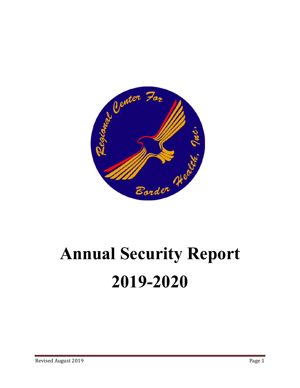

# **Annual Security Report 2019-2020**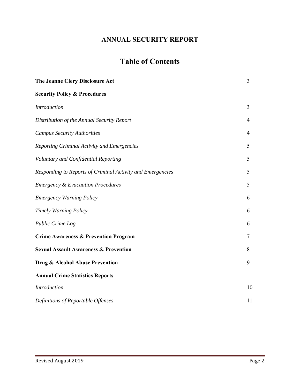# **ANNUAL SECURITY REPORT**

# **Table of Contents**

| The Jeanne Clery Disclosure Act                            |                |  |  |
|------------------------------------------------------------|----------------|--|--|
| <b>Security Policy &amp; Procedures</b>                    |                |  |  |
| <b>Introduction</b>                                        | $\overline{3}$ |  |  |
| Distribution of the Annual Security Report                 | 4              |  |  |
| <b>Campus Security Authorities</b>                         | 4              |  |  |
| Reporting Criminal Activity and Emergencies                | 5              |  |  |
| Voluntary and Confidential Reporting                       | 5              |  |  |
| Responding to Reports of Criminal Activity and Emergencies | 5              |  |  |
| <b>Emergency &amp; Evacuation Procedures</b>               | 5              |  |  |
| <b>Emergency Warning Policy</b>                            | 6              |  |  |
| <b>Timely Warning Policy</b>                               | 6              |  |  |
| Public Crime Log                                           | 6              |  |  |
| <b>Crime Awareness &amp; Prevention Program</b>            | 7              |  |  |
| <b>Sexual Assault Awareness &amp; Prevention</b>           | 8              |  |  |
| Drug & Alcohol Abuse Prevention                            | 9              |  |  |
| <b>Annual Crime Statistics Reports</b>                     |                |  |  |
| <b>Introduction</b>                                        | 10             |  |  |
| Definitions of Reportable Offenses                         | 11             |  |  |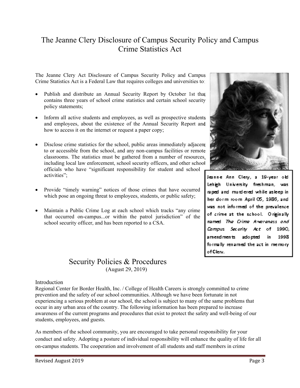# The Jeanne Clery Disclosure of Campus Security Policy and Campus Crime Statistics Act

The Jeanne Clery Act Disclosure of Campus Security Policy and Campus Crime Statistics Act is a Federal Law that requires colleges and universities to:

- Publish and distribute an Annual Security Report by October 1st that contains three years of school crime statistics and certain school security policy statements;
- Inform all active students and employees, as well as prospective students and employees, about the existence of the Annual Security Report and how to access it on the internet or request a paper copy;
- Disclose crime statistics for the school, public areas immediately adjacent to or accessible from the school, and any non-campus facilities or remote classrooms. The statistics must be gathered from a number of resources, including local law enforcement, school security officers, and other school officials who have "significant responsibility for student and school activities";
- Provide "timely warning" notices of those crimes that have occurred which pose an ongoing threat to employees, students, or public safety;
- Maintain a Public Crime Log at each school which tracks "any crime that occurred on-campus...or within the patrol jurisdiction" of the school security officer, and has been reported to a CSA.

# Security Policies & Procedures (August 29, 2019)

#### Introduction

Regional Center for Border Health, Inc. / College of Health Careers is strongly committed to crime prevention and the safety of our school communities. Although we have been fortunate in not experiencing a serious problem at our school, the school is subject to many of the same problems that occur in any urban area of the country. The following information has been prepared to increase awareness of the current programs and procedures that exist to protect the safety and well-being of our students, employees, and guests.

As members of the school community, you are encouraged to take personal responsibility for your conduct and safety. Adopting a posture of individual responsibility will enhance the quality of life for all on-campus students. The cooperation and involvement of all students and staff members in crime





Jeanne Ann Clery, a 19-year old Lehigh University freshman, was raped and murdered while asleep in her dorm room April 05, 1986, and was not informed of the prevalence of crime at the school. Originally named The Crime Awareness and 1990, Campus Security Act a mend men ts ado pted in 1998 formally renamed the act in memory. of Clerv.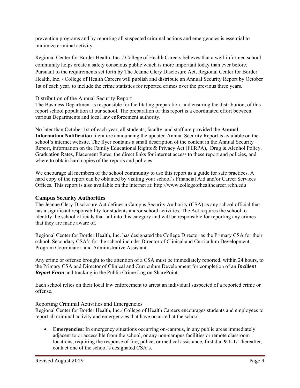prevention programs and by reporting all suspected criminal actions and emergencies is essential to minimize criminal activity.

Regional Center for Border Health, Inc. / College of Health Careers believes that a well-informed school community helps create a safety conscious public which is more important today than ever before. Pursuant to the requirements set forth by The Jeanne Clery Disclosure Act, Regional Center for Border Health, Inc. / College of Health Careers will publish and distribute an Annual Security Report by October 1st of each year, to include the crime statistics for reported crimes over the previous three years.

# Distribution of the Annual Security Report

The Business Department is responsible for facilitating preparation, and ensuring the distribution, of this report school population at our school. The preparation of this report is a coordinated effort between various Departments and local law enforcement authority.

No later than October 1st of each year, all students, faculty, and staff are provided the **Annual Information Notification** literature announcing the updated Annual Security Report is available on the school's internet website. The flyer contains a small description of the content in the Annual Security Report, information on the Family Educational Rights & Privacy Act (FERPA), Drug & Alcohol Policy, Graduation Rates, Placement Rates, the direct links for internet access to these report and policies, and where to obtain hard copies of the reports and policies.

We encourage all members of the school community to use this report as a guide for safe practices. A hard copy of the report can be obtained by visiting your school's Financial Aid and/or Career Services Offices. This report is also available on the internet at: http://www.collegeofhealthcareer.rcbh.edu

# **Campus Security Authorities**

The Jeanne Clery Disclosure Act defines a Campus Security Authority (CSA) as any school official that has a significant responsibility for students and/or school activities. The Act requires the school to identify the school officials that fall into this category and will be responsible for reporting any crimes that they are made aware of.

Regional Center for Border Health, Inc. has designated the College Director as the Primary CSA for their school. Secondary CSA's for the school include: Director of Clinical and Curriculum Development, Program Coordinator, and Administrative Assistant.

Any crime or offense brought to the attention of a CSA must be immediately reported, within 24 hours, to the Primary CSA and Director of Clinical and Curriculum Development for completion of an *Incident Report Form* and tracking in the Public Crime Log on SharePoint.

Each school relies on their local law enforcement to arrest an individual suspected of a reported crime or offense.

# Reporting Criminal Activities and Emergencies

Regional Center for Border Health, Inc./ College of Health Careers encourages students and employees to report all criminal activity and emergencies that have occurred at the school.

 **Emergencies:** In emergency situations occurring on-campus, in any public areas immediately adjacent to or accessible from the school, or any non-campus facilities or remote classroom locations, requiring the response of fire, police, or medical assistance, first dial **9-1-1.** Thereafter, contact one of the school's designated CSA's.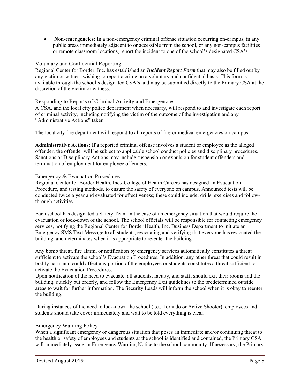• **Non-emergencies:** In a non-emergency criminal offense situation occurring on-campus, in any public areas immediately adjacent to or accessible from the school, or any non-campus facilities or remote classroom locations, report the incident to one of the school's designated CSA's.

#### Voluntary and Confidential Reporting

Regional Center for Border, Inc. has established an *Incident Report Form* that may also be filled out by any victim or witness wishing to report a crime on a voluntary and confidential basis. This form is available through the school's designated CSA's and may be submitted directly to the Primary CSA at the discretion of the victim or witness.

#### Responding to Reports of Criminal Activity and Emergencies

A CSA, and the local city police department when necessary, will respond to and investigate each report of criminal activity, including notifying the victim of the outcome of the investigation and any "Administrative Actions" taken.

The local city fire department will respond to all reports of fire or medical emergencies on-campus.

**Administrative Actions:** If a reported criminal offense involves a student or employee as the alleged offender, the offender will be subject to applicable school conduct policies and disciplinary procedures. Sanctions or Disciplinary Actions may include suspension or expulsion for student offenders and termination of employment for employee offenders.

#### Emergency & Evacuation Procedures

Regional Center for Border Health, Inc./ College of Health Careers has designed an Evacuation Procedure, and testing methods, to ensure the safety of everyone on campus. Announced tests will be conducted twice a year and evaluated for effectiveness; these could include: drills, exercises and followthrough activities.

Each school has designated a Safety Team in the case of an emergency situation that would require the evacuation or lock-down of the school. The school officials will be responsible for contacting emergency services, notifying the Regional Center for Border Health, Inc. Business Department to initiate an Emergency SMS Text Message to all students, evacuating and verifying that everyone has evacuated the building, and determinates when it is appropriate to re-enter the building.

Any bomb threat, fire alarm, or notification by emergency services automatically constitutes a threat sufficient to activate the school's Evacuation Procedures. In addition, any other threat that could result in bodily harm and could affect any portion of the employees or students constitutes a threat sufficient to activate the Evacuation Procedures.

Upon notification of the need to evacuate, all students, faculty, and staff, should exit their rooms and the building, quickly but orderly, and follow the Emergency Exit guidelines to the predetermined outside areas to wait for further information. The Security Leads will inform the school when it is okay to reenter the building.

During instances of the need to lock-down the school (i.e., Tornado or Active Shooter), employees and students should take cover immediately and wait to be told everything is clear.

# Emergency Warning Policy

When a significant emergency or dangerous situation that poses an immediate and/or continuing threat to the health or safety of employees and students at the school is identified and contained, the Primary CSA will immediately issue an Emergency Warning Notice to the school community. If necessary, the Primary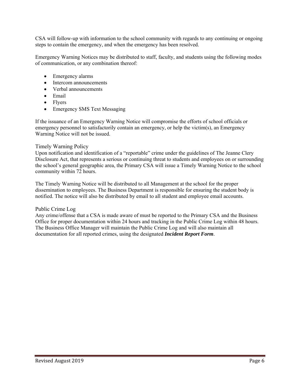CSA will follow-up with information to the school community with regards to any continuing or ongoing steps to contain the emergency, and when the emergency has been resolved.

Emergency Warning Notices may be distributed to staff, faculty, and students using the following modes of communication, or any combination thereof:

- Emergency alarms
- Intercom announcements
- Verbal announcements
- Email
- Flyers
- Emergency SMS Text Messaging

If the issuance of an Emergency Warning Notice will compromise the efforts of school officials or emergency personnel to satisfactorily contain an emergency, or help the victim(s), an Emergency Warning Notice will not be issued.

#### Timely Warning Policy

Upon notification and identification of a "reportable" crime under the guidelines of The Jeanne Clery Disclosure Act, that represents a serious or continuing threat to students and employees on or surrounding the school's general geographic area, the Primary CSA will issue a Timely Warning Notice to the school community within 72 hours.

The Timely Warning Notice will be distributed to all Management at the school for the proper dissemination to employees. The Business Department is responsible for ensuring the student body is notified. The notice will also be distributed by email to all student and employee email accounts.

#### Public Crime Log

Any crime/offense that a CSA is made aware of must be reported to the Primary CSA and the Business Office for proper documentation within 24 hours and tracking in the Public Crime Log within 48 hours. The Business Office Manager will maintain the Public Crime Log and will also maintain all documentation for all reported crimes, using the designated *Incident Report Form*.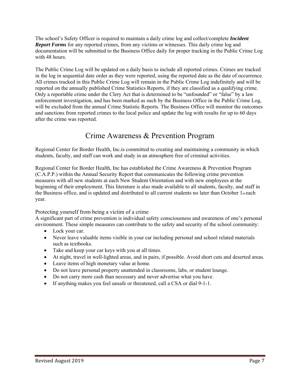The school's Safety Officer is required to maintain a daily crime log and collect/complete *Incident Report Forms* for any reported crimes, from any victims or witnesses. This daily crime log and documentation will be submitted to the Business Office daily for proper tracking in the Public Crime Log with 48 hours.

The Public Crime Log will be updated on a daily basis to include all reported crimes. Crimes are tracked in the log in sequential date order as they were reported, using the reported date as the date of occurrence. All crimes tracked in this Public Crime Log will remain in the Public Crime Log indefinitely and will be reported on the annually published Crime Statistics Reports, if they are classified as a qualifying crime. Only a reportable crime under the Clery Act that is determined to be "unfounded" or "false" by a law enforcement investigation, and has been marked as such by the Business Office in the Public Crime Log, will be excluded from the annual Crime Statistic Reports. The Business Office will monitor the outcomes and sanctions from reported crimes to the local police and update the log with results for up to 60 days after the crime was reported.

# Crime Awareness & Prevention Program

Regional Center for Border Health, Inc.is committed to creating and maintaining a community in which students, faculty, and staff can work and study in an atmosphere free of criminal activities.

Regional Center for Border Health, Inc has established the Crime Awareness & Prevention Program (C.A.P.P.) within the Annual Security Report that communicates the following crime prevention measures with all new students at each New Student Orientation and with new employees at the beginning of their employment. This literature is also made available to all students, faculty, and staff in the Business office, and is updated and distributed to all current students no later than October 1st each year.

# Protecting yourself from being a victim of a crime

A significant part of crime prevention is individual safety consciousness and awareness of one's personal environment. These simple measures can contribute to the safety and security of the school community:

- Lock your car.
- Never leave valuable items visible in your car including personal and school related materials such as textbooks.
- Take and keep your car keys with you at all times.
- At night, travel in well-lighted areas, and in pairs, if possible. Avoid short cuts and deserted areas.
- Leave items of high monetary value at home.
- Do not leave personal property unattended in classrooms, labs, or student lounge.
- Do not carry more cash than necessary and never advertise what you have.
- If anything makes you feel unsafe or threatened, call a CSA or dial 9-1-1.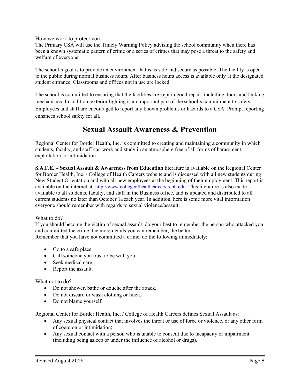How we work to protect you

The Primary CSA will use the Timely Warning Policy advising the school community when there has been a known systematic pattern of crime or a series of crimes that may pose a threat to the safety and welfare of everyone.

The school's goal is to provide an environment that is as safe and secure as possible. The facility is open to the public during normal business hours. After business hours access is available only at the designated student entrance. Classrooms and offices not in use are locked.

The school is committed to ensuring that the facilities are kept in good repair, including doors and locking mechanisms. In addition, exterior lighting is an important part of the school's commitment to safety. Employees and staff are encouraged to report any known problems or hazards to a CSA. Prompt reporting enhances school safety for all.

# **Sexual Assault Awareness & Prevention**

Regional Center for Border Health, Inc. is committed to creating and maintaining a community in which students, faculty, and staff can work and study in an atmosphere free of all forms of harassment, exploitation, or intimidation.

**S.A.F.E. – Sexual Assault & Awareness from Education** literature is available on the Regional Center for Border Health, Inc. / College of Health Careers website and is discussed with all new students during New Student Orientation and with all new employees at the beginning of their employment. This report is available on the internet at: http://www.collegeofhealthcareers.rcbh.edu This literature is also made available to all students, faculty, and staff in the Business office, and is updated and distributed to all current students no later than October 1st each year. In addition, here is some more vital information everyone should remember with regards to sexual violence/assault:

#### What to do?

If you should become the victim of sexual assault, do your best to remember the person who attacked you and committed the crime, the more details you can remember, the better. Remember that you have not committed a crime, do the following immediately:

- Go to a safe place.
- Call someone you trust to be with you.
- Seek medical care.
- Report the assault.

#### What not to do?

- Do not shower, bathe or douche after the attack.
- Do not discard or wash clothing or linen.
- Do not blame yourself.

Regional Center for Border Health, Inc. / College of Health Careers defines Sexual Assault as:

- Any sexual physical contact that involves the threat or use of force or violence, or any other form of coercion or intimidation;
- Any sexual contact with a person who is unable to consent due to incapacity or impairment (including being asleep or under the influence of alcohol or drugs).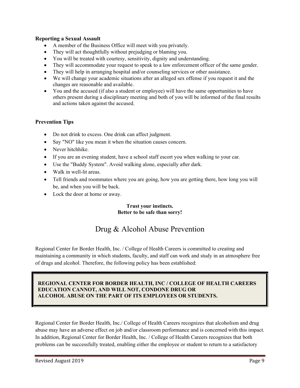# **Reporting a Sexual Assault**

- A member of the Business Office will meet with you privately.
- They will act thoughtfully without prejudging or blaming you.
- You will be treated with courtesy, sensitivity, dignity and understanding.
- They will accommodate your request to speak to a law enforcement officer of the same gender.
- They will help in arranging hospital and/or counseling services or other assistance.
- We will change your academic situations after an alleged sex offense if you request it and the changes are reasonable and available.
- You and the accused (if also a student or employee) will have the same opportunities to have others present during a disciplinary meeting and both of you will be informed of the final results and actions taken against the accused.

#### **Prevention Tips**

- Do not drink to excess. One drink can affect judgment.
- Say "NO" like you mean it when the situation causes concern.
- Never hitchhike.
- If you are an evening student, have a school staff escort you when walking to your car.
- Use the "Buddy System". Avoid walking alone, especially after dark.
- Walk in well-lit areas.
- Tell friends and roommates where you are going, how you are getting there, how long you will be, and when you will be back.
- Lock the door at home or away.

#### **Trust your instincts. Better to be safe than sorry!**

# Drug & Alcohol Abuse Prevention

Regional Center for Border Health, Inc. / College of Health Careers is committed to creating and maintaining a community in which students, faculty, and staff can work and study in an atmosphere free of drugs and alcohol. Therefore, the following policy has been established:

#### **REGIONAL CENTER FOR BORDER HEALTH, INC / COLLEGE OF HEALTH CAREERS EDUCATION CANNOT, AND WILL NOT, CONDONE DRUG OR ALCOHOL ABUSE ON THE PART OF ITS EMPLOYEES OR STUDENTS.**

Regional Center for Border Health, Inc./ College of Health Careers recognizes that alcoholism and drug abuse may have an adverse effect on job and/or classroom performance and is concerned with this impact. In addition, Regional Center for Border Health, Inc. / College of Health Careers recognizes that both problems can be successfully treated, enabling either the employee or student to return to a satisfactory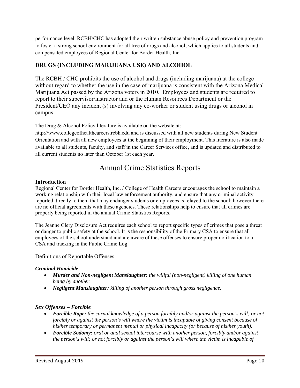performance level. RCBH/CHC has adopted their written substance abuse policy and prevention program to foster a strong school environment for all free of drugs and alcohol; which applies to all students and compensated employees of Regional Center for Border Health, Inc.

# **DRUGS (INCLUDING MARIJUANA USE) AND ALCOHOL**

The RCBH / CHC prohibits the use of alcohol and drugs (including marijuana) at the college without regard to whether the use in the case of marijuana is consistent with the Arizona Medical Marijuana Act passed by the Arizona voters in 2010. Employees and students are required to report to their supervisor/instructor and or the Human Resources Department or the President/CEO any incident (s) involving any co-worker or student using drugs or alcohol in campus.

The Drug & Alcohol Policy literature is available on the website at:

http://www.collegeofhealthcareers.rcbh.edu and is discussed with all new students during New Student Orientation and with all new employees at the beginning of their employment. This literature is also made available to all students, faculty, and staff in the Career Services office, and is updated and distributed to all current students no later than October 1st each year.

# Annual Crime Statistics Reports

#### **Introduction**

Regional Center for Border Health, Inc. / College of Health Careers encourages the school to maintain a working relationship with their local law enforcement authority, and ensure that any criminal activity reported directly to them that may endanger students or employees is relayed to the school; however there are no official agreements with these agencies. These relationships help to ensure that all crimes are properly being reported in the annual Crime Statistics Reports.

The Jeanne Clery Disclosure Act requires each school to report specific types of crimes that pose a threat or danger to public safety at the school. It is the responsibility of the Primary CSA to ensure that all employees of the school understand and are aware of these offenses to ensure proper notification to a CSA and tracking in the Public Crime Log.

#### Definitions of Reportable Offenses

#### *Criminal Homicide*

- *Murder and Non-negligent Manslaughter: the willful (non-negligent) killing of one human being by another.*
- *Negligent Manslaughter: killing of another person through gross negligence.*

# *Sex Offenses – Forcible*

- *Forcible Rape: the carnal knowledge of a person forcibly and/or against the person's will; or not forcibly or against the person's will where the victim is incapable of giving consent because of his/her temporary or permanent mental or physical incapacity (or because of his/her youth).*
- *Forcible Sodomy: oral or anal sexual intercourse with another person, forcibly and/or against the person's will; or not forcibly or against the person's will where the victim is incapable of*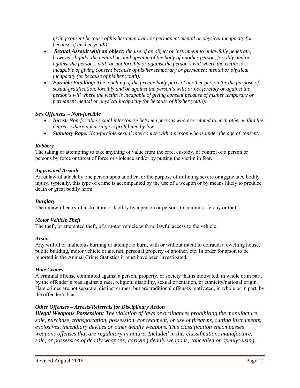*giving consent because of his/her temporary or permanent mental or physical incapacity (or because of his/her youth).*

- *Sexual Assault with an object: the use of an object or instrument to unlawfully penetrate, however slightly, the genital or anal opening of the body of another person, forcibly and/or against the person's will; or not forcibly or against the person's will where the victim is incapable of giving consent because of his/her temporary or permanent mental or physical incapacity (or because of his/her youth).*
- *Forcible Fondling: The touching of the private body parts of another person for the purpose of sexual gratification, forcibly and/or against the person's will; or not forcibly or against the person's will where the victim is incapable of giving consent because of his/her temporary or permanent mental or physical incapacity (or because of his/her youth).*

# *Sex Offenses – Non-forcible*

- *Incest: Non-forcible sexual intercourse between persons who are related to each other within the degrees wherein marriage is prohibited by law.*
- *Statutory Rape: Non-forcible sexual intercourse with a person who is under the age of consent.*

#### *Robbery*

The taking or attempting to take anything of value from the care, custody, or control of a person or persons by force or threat of force or violence and/or by putting the victim in fear.

#### *Aggravated Assault*

An unlawful attack by one person upon another for the purpose of inflicting severe or aggravated bodily injury; typically, this type of crime is accompanied by the use of a weapon or by means likely to produce death or great bodily harm.

# *Burglary*

The unlawful entry of a structure or facility by a person or persons to commit a felony or theft.

# *Motor Vehicle Theft*

The theft, or attempted theft, of a motor vehicle with no lawful access to the vehicle.

#### *Arson*

Any willful or malicious burning or attempt to burn, with or without intent to defraud, a dwelling house, public building, motor vehicle or aircraft, personal property of another, etc. In order for arson to be reported in the Annual Crime Statistics it must have been investigated.

# *Hate Crimes*

A criminal offense committed against a person, property, or society that is motivated, in whole or in part, by the offender's bias against a race, religion, disability, sexual orientation, or ethnicity/national origin. Hate crimes are not separate, distinct crimes, but are traditional offenses motivated, in whole or in part, by the offender's bias.

# *Other Offenses – Arrests/Referrals for Disciplinary Action*

*Illegal Weapons Possession: The violation of laws or ordinances prohibiting the manufacture, sale, purchase, transportation, possession, concealment, or use of firearms, cutting instruments, explosives, incendiary devices or other deadly weapons. This classification encompasses weapons offenses that are regulatory in nature. Included in this classification: manufacture, sale, or possession of deadly weapons; carrying deadly weapons, concealed or openly; using,*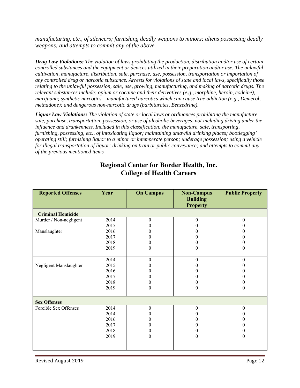*manufacturing, etc., of silencers; furnishing deadly weapons to minors; aliens possessing deadly weapons; and attempts to commit any of the above.* 

*Drug Law Violations: The violation of laws prohibiting the production, distribution and/or use of certain controlled substances and the equipment or devices utilized in their preparation and/or use. The unlawful cultivation, manufacture, distribution, sale, purchase, use, possession, transportation or importation of any controlled drug or narcotic substance. Arrests for violations of state and local laws, specifically those relating to the unlawful possession, sale, use, growing, manufacturing, and making of narcotic drugs. The relevant substances include: opium or cocaine and their derivatives (e.g., morphine, heroin, codeine); marijuana; synthetic narcotics – manufactured narcotics which can cause true addiction (e.g., Demerol, methadone); and dangerous non-narcotic drugs (barbiturates, Benzedrine).* 

*Liquor Law Violations: The violation of state or local laws or ordinances prohibiting the manufacture, sale, purchase, transportation, possession, or use of alcoholic beverages, not including driving under the influence and drunkenness. Included in this classification: the manufacture, sale, transporting, furnishing, possessing, etc., of intoxicating liquor; maintaining unlawful drinking places; bootlegging' operating still; furnishing liquor to a minor or intemperate person; underage possession; using a vehicle for illegal transportation of liquor; drinking on train or public conveyance; and attempts to commit any of the previous mentioned items* 

| <b>Reported Offenses</b> | Year | <b>On Campus</b> | <b>Non-Campus</b>                  | <b>Public Property</b> |
|--------------------------|------|------------------|------------------------------------|------------------------|
|                          |      |                  | <b>Building</b><br><b>Property</b> |                        |
|                          |      |                  |                                    |                        |
| <b>Criminal Homicide</b> |      |                  |                                    |                        |
| Murder / Non-negligent   | 2014 | $\mathbf{0}$     | $\boldsymbol{0}$                   | $\theta$               |
|                          | 2015 |                  | 0                                  |                        |
| Manslaughter             | 2016 | 0                | 0                                  | 0                      |
|                          | 2017 | 0                | 0                                  | 0                      |
|                          | 2018 | 0                | 0                                  |                        |
|                          | 2019 | 0                | $\boldsymbol{0}$                   | 0                      |
|                          |      |                  |                                    |                        |
|                          | 2014 | $\mathbf{0}$     | $\boldsymbol{0}$                   | $\boldsymbol{0}$       |
| Negligent Manslaughter   | 2015 |                  | 0                                  | $^{(1)}$               |
|                          | 2016 |                  | 0                                  | 0                      |
|                          | 2017 | 0                | 0                                  | 0                      |
|                          | 2018 |                  | 0                                  | 0                      |
|                          | 2019 | 0                | $\boldsymbol{0}$                   | $\theta$               |
|                          |      |                  |                                    |                        |
| <b>Sex Offenses</b>      |      |                  |                                    |                        |
| Forcible Sex Offenses    | 2014 | $\theta$         | $\boldsymbol{0}$                   | $\boldsymbol{0}$       |
|                          | 2014 |                  | 0                                  |                        |
|                          | 2016 | 0                | 0                                  | 0                      |
|                          | 2017 | 0                | 0                                  | 0                      |
|                          | 2018 | $_{0}$           | 0                                  | 0                      |
|                          | 2019 | $\theta$         | $\boldsymbol{0}$                   | 0                      |
|                          |      |                  |                                    |                        |
|                          |      |                  |                                    |                        |

# **Regional Center for Border Health, Inc. College of Health Careers**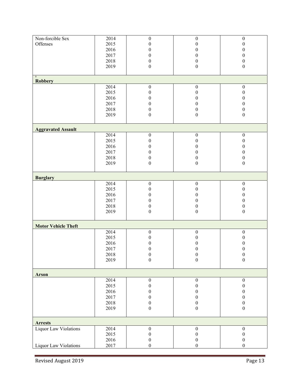| Non-forcible Sex                   | 2014     | $\boldsymbol{0}$ | $\boldsymbol{0}$ | $\boldsymbol{0}$ |  |  |
|------------------------------------|----------|------------------|------------------|------------------|--|--|
|                                    |          |                  |                  |                  |  |  |
| Offenses                           | 2015     | $\boldsymbol{0}$ | $\boldsymbol{0}$ | $\boldsymbol{0}$ |  |  |
|                                    | 2016     | $\boldsymbol{0}$ | $\boldsymbol{0}$ | $\boldsymbol{0}$ |  |  |
|                                    | 2017     | $\boldsymbol{0}$ | $\boldsymbol{0}$ | $\boldsymbol{0}$ |  |  |
|                                    | 2018     | $\boldsymbol{0}$ | $\boldsymbol{0}$ | $\boldsymbol{0}$ |  |  |
|                                    |          |                  |                  |                  |  |  |
|                                    | 2019     | $\boldsymbol{0}$ | $\boldsymbol{0}$ | $\boldsymbol{0}$ |  |  |
|                                    |          |                  |                  |                  |  |  |
| $\boldsymbol{0}$<br><b>Robbery</b> |          |                  |                  |                  |  |  |
|                                    | 2014     | $\boldsymbol{0}$ | $\boldsymbol{0}$ | $\boldsymbol{0}$ |  |  |
|                                    |          |                  |                  |                  |  |  |
|                                    | 2015     | $\boldsymbol{0}$ | $\boldsymbol{0}$ | $\boldsymbol{0}$ |  |  |
|                                    | 2016     | $\boldsymbol{0}$ | $\boldsymbol{0}$ | $\boldsymbol{0}$ |  |  |
|                                    | 2017     | $\boldsymbol{0}$ | $\boldsymbol{0}$ | $\boldsymbol{0}$ |  |  |
|                                    | 2018     | $\boldsymbol{0}$ | $\boldsymbol{0}$ | $\boldsymbol{0}$ |  |  |
|                                    | 2019     | $\boldsymbol{0}$ | $\boldsymbol{0}$ | $\boldsymbol{0}$ |  |  |
|                                    |          |                  |                  |                  |  |  |
|                                    |          |                  |                  |                  |  |  |
| <b>Aggravated Assault</b>          |          |                  |                  |                  |  |  |
|                                    | 2014     | $\boldsymbol{0}$ | $\boldsymbol{0}$ | $\boldsymbol{0}$ |  |  |
|                                    | 2015     | $\boldsymbol{0}$ | $\boldsymbol{0}$ | $\boldsymbol{0}$ |  |  |
|                                    | 2016     | $\boldsymbol{0}$ | $\mathbf{0}$     | $\boldsymbol{0}$ |  |  |
|                                    | 2017     | $\boldsymbol{0}$ | $\boldsymbol{0}$ | $\boldsymbol{0}$ |  |  |
|                                    |          |                  |                  |                  |  |  |
|                                    | 2018     | $\boldsymbol{0}$ | $\boldsymbol{0}$ | $\boldsymbol{0}$ |  |  |
|                                    | 2019     | $\boldsymbol{0}$ | $\boldsymbol{0}$ | $\boldsymbol{0}$ |  |  |
|                                    |          |                  |                  |                  |  |  |
| <b>Burglary</b>                    |          |                  |                  |                  |  |  |
|                                    | 2014     | $\boldsymbol{0}$ | $\boldsymbol{0}$ | $\boldsymbol{0}$ |  |  |
|                                    |          |                  |                  |                  |  |  |
|                                    | 2015     | $\boldsymbol{0}$ | $\boldsymbol{0}$ | $\boldsymbol{0}$ |  |  |
|                                    | 2016     | $\boldsymbol{0}$ | $\boldsymbol{0}$ | $\boldsymbol{0}$ |  |  |
|                                    | 2017     | $\boldsymbol{0}$ | $\boldsymbol{0}$ | $\boldsymbol{0}$ |  |  |
|                                    | 2018     | $\boldsymbol{0}$ | $\boldsymbol{0}$ | $\boldsymbol{0}$ |  |  |
|                                    | 2019     | $\boldsymbol{0}$ | $\boldsymbol{0}$ | $\boldsymbol{0}$ |  |  |
|                                    |          |                  |                  |                  |  |  |
|                                    |          |                  |                  |                  |  |  |
| <b>Motor Vehicle Theft</b>         |          |                  |                  |                  |  |  |
|                                    | 2014     | $\boldsymbol{0}$ | $\boldsymbol{0}$ | $\boldsymbol{0}$ |  |  |
|                                    | 2015     | $\boldsymbol{0}$ | $\boldsymbol{0}$ | $\boldsymbol{0}$ |  |  |
|                                    | 2016     | $\boldsymbol{0}$ | $\theta$         | $\boldsymbol{0}$ |  |  |
|                                    | 2017     |                  |                  | $\boldsymbol{0}$ |  |  |
|                                    |          | $\boldsymbol{0}$ | $\boldsymbol{0}$ |                  |  |  |
|                                    | $2018\,$ | $\boldsymbol{0}$ | $\boldsymbol{0}$ | $\boldsymbol{0}$ |  |  |
|                                    | 2019     | $\boldsymbol{0}$ | $\boldsymbol{0}$ | $\boldsymbol{0}$ |  |  |
|                                    |          |                  |                  |                  |  |  |
| <b>Arson</b>                       |          |                  |                  |                  |  |  |
|                                    | 2014     | $\boldsymbol{0}$ | $\boldsymbol{0}$ | $\boldsymbol{0}$ |  |  |
|                                    | 2015     | $\boldsymbol{0}$ | $\boldsymbol{0}$ | $\boldsymbol{0}$ |  |  |
|                                    | 2016     |                  | $\theta$         | $\boldsymbol{0}$ |  |  |
|                                    |          | 0                |                  |                  |  |  |
|                                    | 2017     | 0                | $\theta$         | $\boldsymbol{0}$ |  |  |
|                                    | 2018     | 0                | $\boldsymbol{0}$ | $\boldsymbol{0}$ |  |  |
|                                    | 2019     | $\boldsymbol{0}$ | $\boldsymbol{0}$ | $\boldsymbol{0}$ |  |  |
|                                    |          |                  |                  |                  |  |  |
| <b>Arrests</b>                     |          |                  |                  |                  |  |  |
| Liquor Law Violations              | 2014     | $\boldsymbol{0}$ | $\boldsymbol{0}$ | $\boldsymbol{0}$ |  |  |
|                                    | 2015     | $\bf{0}$         | $\boldsymbol{0}$ | $\boldsymbol{0}$ |  |  |
|                                    | 2016     | $\mathbf{0}$     | $\boldsymbol{0}$ | $\boldsymbol{0}$ |  |  |
|                                    |          |                  |                  |                  |  |  |
| Liquor Law Violations              | 2017     | 0                | $\boldsymbol{0}$ | $\overline{0}$   |  |  |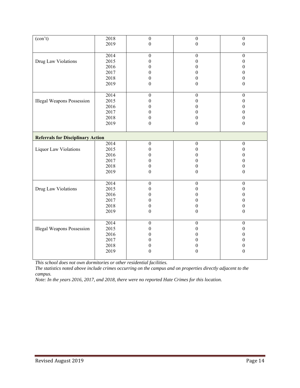| $\overline{(con't)}$                     | 2018 | $\boldsymbol{0}$ | $\boldsymbol{0}$ | $\boldsymbol{0}$ |
|------------------------------------------|------|------------------|------------------|------------------|
|                                          | 2019 | $\boldsymbol{0}$ | $\boldsymbol{0}$ | $\boldsymbol{0}$ |
|                                          |      |                  |                  |                  |
|                                          | 2014 | $\boldsymbol{0}$ | $\boldsymbol{0}$ | $\boldsymbol{0}$ |
| Drug Law Violations                      | 2015 | $\boldsymbol{0}$ | $\boldsymbol{0}$ | $\boldsymbol{0}$ |
|                                          | 2016 | $\boldsymbol{0}$ | $\boldsymbol{0}$ | $\boldsymbol{0}$ |
|                                          | 2017 | $\boldsymbol{0}$ | $\boldsymbol{0}$ | $\boldsymbol{0}$ |
|                                          | 2018 | $\boldsymbol{0}$ | $\boldsymbol{0}$ | $\boldsymbol{0}$ |
|                                          | 2019 | $\boldsymbol{0}$ | $\boldsymbol{0}$ | $\boldsymbol{0}$ |
|                                          |      |                  |                  |                  |
|                                          | 2014 | $\boldsymbol{0}$ | $\boldsymbol{0}$ | $\boldsymbol{0}$ |
| Illegal Weapons Possession               | 2015 | 0                | $\boldsymbol{0}$ | $\boldsymbol{0}$ |
|                                          | 2016 | 0                | $\theta$         | $\boldsymbol{0}$ |
|                                          | 2017 | 0                | $\theta$         | $\boldsymbol{0}$ |
|                                          | 2018 | $\boldsymbol{0}$ | $\boldsymbol{0}$ | $\boldsymbol{0}$ |
|                                          | 2019 | $\boldsymbol{0}$ | $\boldsymbol{0}$ | $\boldsymbol{0}$ |
|                                          |      |                  |                  |                  |
|                                          |      |                  |                  |                  |
| <b>Referrals for Disciplinary Action</b> |      |                  |                  |                  |
|                                          | 2014 | $\boldsymbol{0}$ | $\boldsymbol{0}$ | $\boldsymbol{0}$ |
| Liquor Law Violations                    | 2015 | $\boldsymbol{0}$ | $\boldsymbol{0}$ | $\boldsymbol{0}$ |
|                                          | 2016 | 0                | $\theta$         | $\mathbf{0}$     |
|                                          | 2017 | 0                | $\theta$         | $\boldsymbol{0}$ |
|                                          | 2018 | $\boldsymbol{0}$ | $\theta$         | $\boldsymbol{0}$ |
|                                          | 2019 | $\boldsymbol{0}$ | $\boldsymbol{0}$ | $\boldsymbol{0}$ |
|                                          |      |                  |                  |                  |
|                                          | 2014 | $\boldsymbol{0}$ | $\boldsymbol{0}$ | $\boldsymbol{0}$ |
| Drug Law Violations                      | 2015 | $\boldsymbol{0}$ | $\boldsymbol{0}$ | $\boldsymbol{0}$ |
|                                          | 2016 | 0                | $\theta$         | $\boldsymbol{0}$ |
|                                          | 2017 | $\boldsymbol{0}$ | $\boldsymbol{0}$ | $\boldsymbol{0}$ |
|                                          | 2018 | $\boldsymbol{0}$ | $\boldsymbol{0}$ | $\boldsymbol{0}$ |
|                                          | 2019 | $\boldsymbol{0}$ | $\boldsymbol{0}$ | $\mathbf{0}$     |
|                                          | 2014 | $\boldsymbol{0}$ | $\boldsymbol{0}$ | $\boldsymbol{0}$ |
| <b>Illegal Weapons Possession</b>        | 2015 | $\boldsymbol{0}$ | $\boldsymbol{0}$ | $\boldsymbol{0}$ |
|                                          | 2016 | $\boldsymbol{0}$ | $\theta$         | $\boldsymbol{0}$ |
|                                          | 2017 | $\boldsymbol{0}$ | $\boldsymbol{0}$ | $\boldsymbol{0}$ |
|                                          | 2018 | 0                | $\boldsymbol{0}$ | $\boldsymbol{0}$ |
|                                          | 2019 | $\boldsymbol{0}$ | $\boldsymbol{0}$ | $\boldsymbol{0}$ |
|                                          |      |                  |                  |                  |

*This school does not own dormitories or other residential facilities.* 

*The statistics noted above include crimes occurring on the campus and on properties directly adjacent to the campus.* 

*Note: In the years 2016, 2017, and 2018, there were no reported Hate Crimes for this location.*